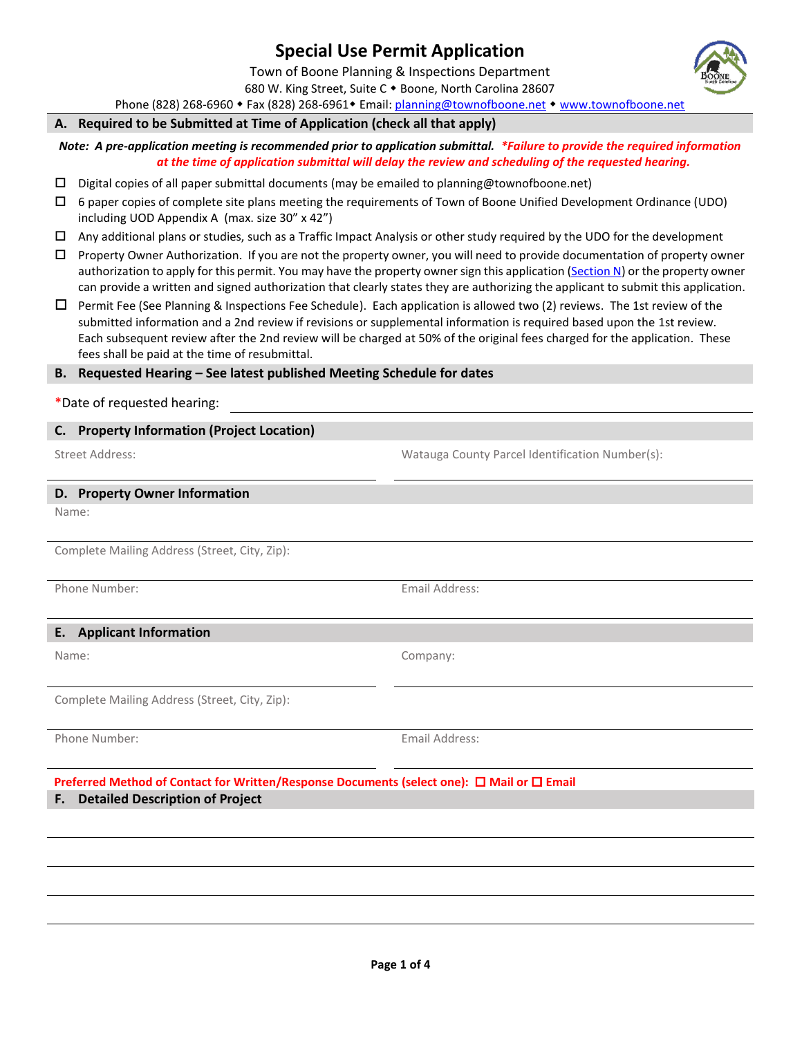# **Special Use Permit Application**

Town of Boone Planning & Inspections Department 680 W. King Street, Suite C . Boone, North Carolina 28607

Phone (828) 268-6960 • Fax (828) 268-6961 • Email[: planning@townofboone.net](mailto:planning@townofboone.net) • [www.townofboone.net](http://www.townofboone.net/)

### **A. Required to be Submitted at Time of Application (check all that apply)**

*Note: A pre-application meeting is recommended prior to application submittal. \*Failure to provide the required information at the time of application submittal will delay the review and scheduling of the requested hearing.*

- $\square$  Digital copies of all paper submittal documents (may be emailed to planning@townofboone.net)
- 6 paper copies of complete site plans meeting the requirements of Town of Boone Unified Development Ordinance (UDO) including UOD Appendix A (max. size 30" x 42")
- $\Box$  Any additional plans or studies, such as a Traffic Impact Analysis or other study required by the UDO for the development
- $\Box$  Property Owner Authorization. If you are not the property owner, you will need to provide documentation of property owner authorization to apply for this permit. You may have the property owner sign this application [\(Section N\)](#page-2-0) or the property owner can provide a written and signed authorization that clearly states they are authorizing the applicant to submit this application.
- $\Box$  Permit Fee (See Planning & Inspections Fee Schedule). Each application is allowed two (2) reviews. The 1st review of the submitted information and a 2nd review if revisions or supplemental information is required based upon the 1st review. Each subsequent review after the 2nd review will be charged at 50% of the original fees charged for the application. These fees shall be paid at the time of resubmittal.

## **B. Requested Hearing – See latest published Meeting Schedule for dates**

\*Date of requested hearing:

### **C. Property Information (Project Location)**

Street Address: Watauga County Parcel Identification Number(s):

#### **D. Property Owner Information**

Name:

Complete Mailing Address (Street, City, Zip):

Phone Number: Email Address:

## **E. Applicant Information**

Name: Company:

Complete Mailing Address (Street, City, Zip):

Phone Number: Email Address:

## **Preferred Method of Contact for Written/Response Documents (select one): □ Mail or □ Email F. Detailed Description of Project**

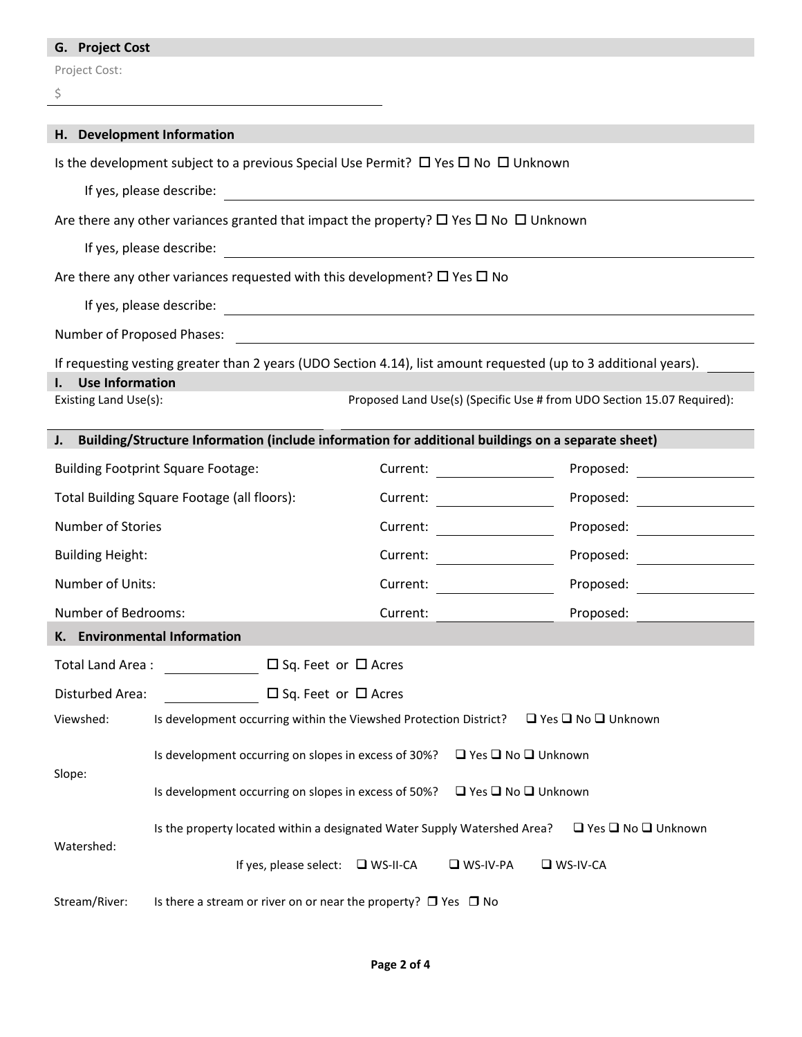## **G. Project Cost**

Project Cost:

| k.     |
|--------|
|        |
| ٠      |
| I<br>ł |

| H. Development Information                                                                                                |                                                                                                                  |                                                                                                                                                                                                                                |                                                                                                                      |                                                                                                                                                                                                                               |  |
|---------------------------------------------------------------------------------------------------------------------------|------------------------------------------------------------------------------------------------------------------|--------------------------------------------------------------------------------------------------------------------------------------------------------------------------------------------------------------------------------|----------------------------------------------------------------------------------------------------------------------|-------------------------------------------------------------------------------------------------------------------------------------------------------------------------------------------------------------------------------|--|
|                                                                                                                           | Is the development subject to a previous Special Use Permit? $\Box$ Yes $\Box$ No $\Box$ Unknown                 |                                                                                                                                                                                                                                |                                                                                                                      |                                                                                                                                                                                                                               |  |
|                                                                                                                           |                                                                                                                  |                                                                                                                                                                                                                                |                                                                                                                      |                                                                                                                                                                                                                               |  |
|                                                                                                                           | Are there any other variances granted that impact the property? $\Box$ Yes $\Box$ No $\Box$ Unknown              |                                                                                                                                                                                                                                |                                                                                                                      |                                                                                                                                                                                                                               |  |
|                                                                                                                           | If yes, please describe:                                                                                         |                                                                                                                                                                                                                                |                                                                                                                      |                                                                                                                                                                                                                               |  |
|                                                                                                                           |                                                                                                                  |                                                                                                                                                                                                                                | <u> 1989 - Johann Stein, mars and de Britannich (b. 1989)</u>                                                        |                                                                                                                                                                                                                               |  |
|                                                                                                                           | Are there any other variances requested with this development? $\Box$ Yes $\Box$ No                              |                                                                                                                                                                                                                                |                                                                                                                      |                                                                                                                                                                                                                               |  |
|                                                                                                                           |                                                                                                                  |                                                                                                                                                                                                                                |                                                                                                                      |                                                                                                                                                                                                                               |  |
| Number of Proposed Phases:                                                                                                |                                                                                                                  |                                                                                                                                                                                                                                | <u> 1989 - Johann John Stein, markin fan it ferskearre fan it ferskearre fan it ferskearre fan it ferskearre fan</u> |                                                                                                                                                                                                                               |  |
|                                                                                                                           | If requesting vesting greater than 2 years (UDO Section 4.14), list amount requested (up to 3 additional years). |                                                                                                                                                                                                                                |                                                                                                                      |                                                                                                                                                                                                                               |  |
| <b>Use Information</b><br>Proposed Land Use(s) (Specific Use # from UDO Section 15.07 Required):<br>Existing Land Use(s): |                                                                                                                  |                                                                                                                                                                                                                                |                                                                                                                      |                                                                                                                                                                                                                               |  |
|                                                                                                                           | J. Building/Structure Information (include information for additional buildings on a separate sheet)             |                                                                                                                                                                                                                                |                                                                                                                      |                                                                                                                                                                                                                               |  |
| <b>Building Footprint Square Footage:</b>                                                                                 |                                                                                                                  |                                                                                                                                                                                                                                |                                                                                                                      |                                                                                                                                                                                                                               |  |
| Total Building Square Footage (all floors):                                                                               |                                                                                                                  |                                                                                                                                                                                                                                |                                                                                                                      |                                                                                                                                                                                                                               |  |
| <b>Number of Stories</b>                                                                                                  |                                                                                                                  |                                                                                                                                                                                                                                | Current: <u>______________________</u>                                                                               |                                                                                                                                                                                                                               |  |
| <b>Building Height:</b>                                                                                                   |                                                                                                                  | Current:                                                                                                                                                                                                                       |                                                                                                                      |                                                                                                                                                                                                                               |  |
| Number of Units:                                                                                                          |                                                                                                                  | Current: Electronic Current of the Current of the Current of the Current of the Current of the Current of the Current of the Current of the Current of the Current of the Current of the Current of the Current of the Current |                                                                                                                      | Proposed: The contract of the contract of the contract of the contract of the contract of the contract of the contract of the contract of the contract of the contract of the contract of the contract of the contract of the |  |
| Number of Bedrooms:                                                                                                       |                                                                                                                  | Current:                                                                                                                                                                                                                       |                                                                                                                      | Proposed:                                                                                                                                                                                                                     |  |
| K. Environmental Information                                                                                              |                                                                                                                  |                                                                                                                                                                                                                                |                                                                                                                      |                                                                                                                                                                                                                               |  |
| Total Land Area:                                                                                                          | $\Box$ Sq. Feet or $\Box$ Acres                                                                                  |                                                                                                                                                                                                                                |                                                                                                                      |                                                                                                                                                                                                                               |  |
| $\Box$ Sq. Feet or $\Box$ Acres<br>Disturbed Area:                                                                        |                                                                                                                  |                                                                                                                                                                                                                                |                                                                                                                      |                                                                                                                                                                                                                               |  |
| $\Box$ Yes $\Box$ No $\Box$ Unknown<br>Viewshed:<br>Is development occurring within the Viewshed Protection District?     |                                                                                                                  |                                                                                                                                                                                                                                |                                                                                                                      |                                                                                                                                                                                                                               |  |
| Slope:                                                                                                                    | Is development occurring on slopes in excess of 30%?<br>$\Box$ Yes $\Box$ No $\Box$ Unknown                      |                                                                                                                                                                                                                                |                                                                                                                      |                                                                                                                                                                                                                               |  |
|                                                                                                                           | Is development occurring on slopes in excess of 50%?<br>$\Box$ Yes $\Box$ No $\Box$ Unknown                      |                                                                                                                                                                                                                                |                                                                                                                      |                                                                                                                                                                                                                               |  |
| Watershed:                                                                                                                | Is the property located within a designated Water Supply Watershed Area?<br>$\Box$ Yes $\Box$ No $\Box$ Unknown  |                                                                                                                                                                                                                                |                                                                                                                      |                                                                                                                                                                                                                               |  |
|                                                                                                                           | If yes, please select: $\Box$ WS-II-CA                                                                           |                                                                                                                                                                                                                                | $\n  W$ S-IV-PA                                                                                                      | $\n  W - W - CA\n$                                                                                                                                                                                                            |  |
| Stream/River:                                                                                                             | Is there a stream or river on or near the property? $\Box$ Yes $\Box$ No                                         |                                                                                                                                                                                                                                |                                                                                                                      |                                                                                                                                                                                                                               |  |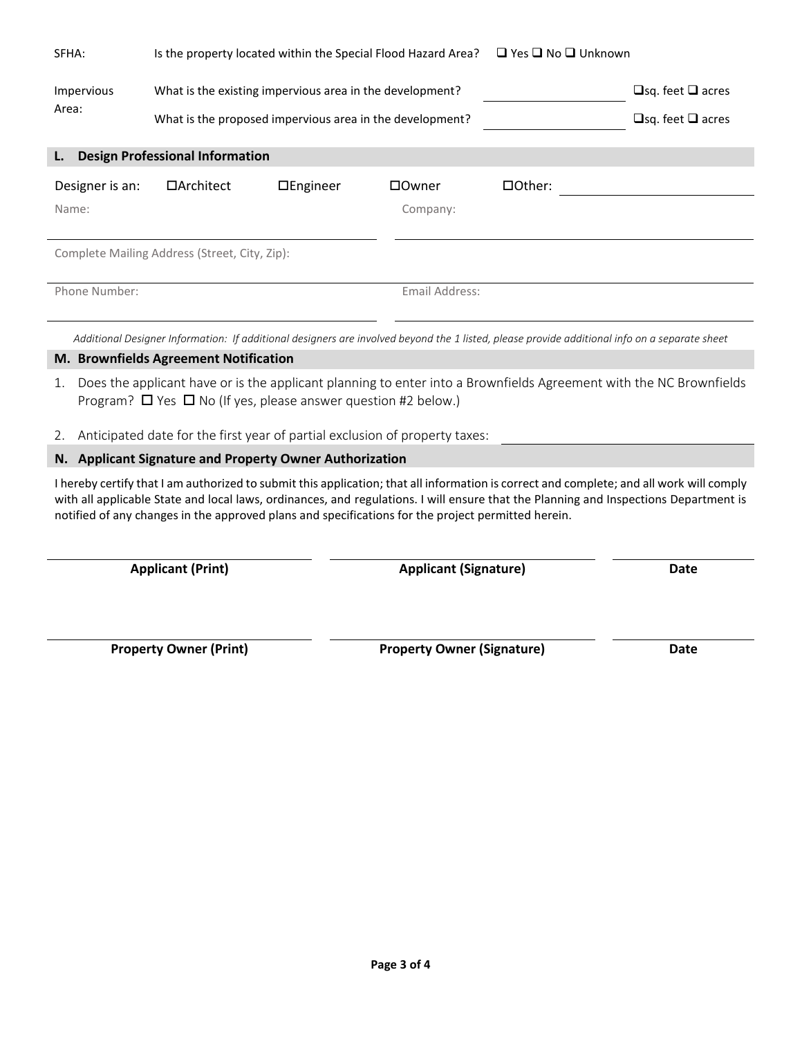| SFHA:                    | Is the property located within the Special Flood Hazard Area? □ Yes □ No □ Unknown                                   |                 |                     |         |                                                                                                                                               |
|--------------------------|----------------------------------------------------------------------------------------------------------------------|-----------------|---------------------|---------|-----------------------------------------------------------------------------------------------------------------------------------------------|
| Impervious<br>Area:      | What is the existing impervious area in the development?<br>What is the proposed impervious area in the development? |                 |                     |         | $\Box$ sq. feet $\Box$ acres<br>$\Box$ sq. feet $\Box$ acres                                                                                  |
| L.                       | <b>Design Professional Information</b>                                                                               |                 |                     |         |                                                                                                                                               |
| Designer is an:<br>Name: | $\Box$ Architect                                                                                                     | $\Box$ Engineer | □ Owner<br>Company: | □Other: |                                                                                                                                               |
|                          | Complete Mailing Address (Street, City, Zip):                                                                        |                 |                     |         |                                                                                                                                               |
| Phone Number:            |                                                                                                                      |                 | Email Address:      |         |                                                                                                                                               |
|                          |                                                                                                                      |                 |                     |         | Additional Designer Information: If additional designers are involved beyond the 1 listed, please provide additional info on a separate sheet |
|                          | M. Brownfields Agreement Notification                                                                                |                 |                     |         |                                                                                                                                               |

- 1. Does the applicant have or is the applicant planning to enter into a Brownfields Agreement with the NC Brownfields Program?  $\Box$  Yes  $\Box$  No (If yes, please answer question #2 below.)
- 2. Anticipated date for the first year of partial exclusion of property taxes:

## <span id="page-2-0"></span>**N. Applicant Signature and Property Owner Authorization**

I hereby certify that I am authorized to submit this application; that all information is correct and complete; and all work will comply with all applicable State and local laws, ordinances, and regulations. I will ensure that the Planning and Inspections Department is notified of any changes in the approved plans and specifications for the project permitted herein.

**Applicant (Print) Applicant (Signature) Date**

**Property Owner (Print) Property Owner (Signature) Date**